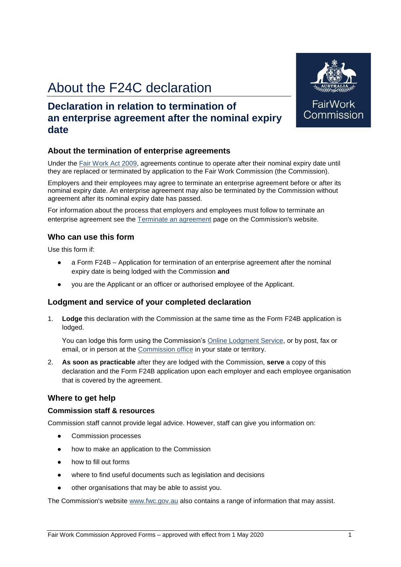# About the F24C declaration

### **Declaration in relation to termination of an enterprise agreement after the nominal expiry date**

#### **About the termination of enterprise agreements**

Under the Fair Work Act 2009, agreements continue to operate after their nominal expiry date until they are replaced or terminated by application to the Fair Work Commission (the Commission).

Employers and their employees may agree to terminate an enterprise agreement before or after its nominal expiry date. An enterprise agreement may also be terminated by the Commission without agreement after its nominal expiry date has passed.

For information about the process that employers and employees must follow to terminate an enterprise agreement see the Terminate an agreement page on the Commission's website.

#### **Who can use this form**

Use this form if:

- a Form F24B Application for termination of an enterprise agreement after the nominal expiry date is being lodged with the Commission **and**
- you are the Applicant or an officer or authorised employee of the Applicant.

#### **Lodgment and service of your completed declaration**

1. **Lodge** this declaration with the Commission at the same time as the Form F24B application is lodged.

You can lodge this form using the Commission's Online Lodgment Service, or by post, fax or email, or in person at the Commission office in your state or territory.

2. **As soon as practicable** after they are lodged with the Commission, **serve** a copy of this declaration and the Form F24B application upon each employer and each employee organisation that is covered by the agreement.

#### **Where to get help**

#### **Commission staff & resources**

Commission staff cannot provide legal advice. However, staff can give you information on:

- Commission processes
- how to make an application to the Commission
- how to fill out forms
- where to find useful documents such as legislation and decisions
- other organisations that may be able to assist you.

The Commission's website www.fwc.gov.au also contains a range of information that may assist.



FairWo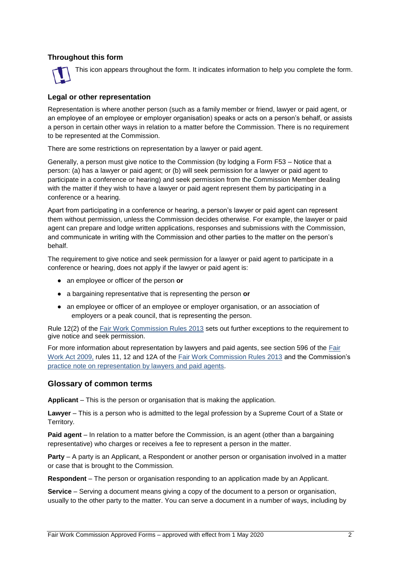#### **Throughout this form**



This icon appears throughout the form. It indicates information to help you complete the form.

#### **Legal or other representation**

Representation is where another person (such as a family member or friend, lawyer or paid agent, or an employee of an employee or employer organisation) speaks or acts on a person's behalf, or assists a person in certain other ways in relation to a matter before the Commission. There is no requirement to be represented at the Commission.

There are some restrictions on representation by a lawyer or paid agent.

Generally, a person must give notice to the Commission (by lodging a Form F53 – Notice that a person: (a) has a lawyer or paid agent; or (b) will seek permission for a lawyer or paid agent to participate in a conference or hearing) and seek permission from the Commission Member dealing with the matter if they wish to have a lawyer or paid agent represent them by participating in a conference or a hearing.

Apart from participating in a conference or hearing, a person's lawyer or paid agent can represent them without permission, unless the Commission decides otherwise. For example, the lawyer or paid agent can prepare and lodge written applications, responses and submissions with the Commission, and communicate in writing with the Commission and other parties to the matter on the person's behalf.

The requirement to give notice and seek permission for a lawyer or paid agent to participate in a conference or hearing, does not apply if the lawyer or paid agent is:

- an employee or officer of the person **or**
- a bargaining representative that is representing the person **or**
- an employee or officer of an employee or employer organisation, or an association of employers or a peak council, that is representing the person.

Rule 12(2) of the Fair Work Commission Rules 2013 sets out further exceptions to the requirement to give notice and seek permission.

For more information about representation by lawyers and paid agents, see section 596 of the Fair Work Act 2009, rules 11, 12 and 12A of the Fair Work Commission Rules 2013 and the Commission's practice note on representation by lawyers and paid agents.

#### **Glossary of common terms**

**Applicant** – This is the person or organisation that is making the application.

**Lawyer** – This is a person who is admitted to the legal profession by a Supreme Court of a State or Territory.

**Paid agent** – In relation to a matter before the Commission, is an agent (other than a bargaining representative) who charges or receives a fee to represent a person in the matter.

**Party** – A party is an Applicant, a Respondent or another person or organisation involved in a matter or case that is brought to the Commission.

**Respondent** – The person or organisation responding to an application made by an Applicant.

**Service** – Serving a document means giving a copy of the document to a person or organisation, usually to the other party to the matter. You can serve a document in a number of ways, including by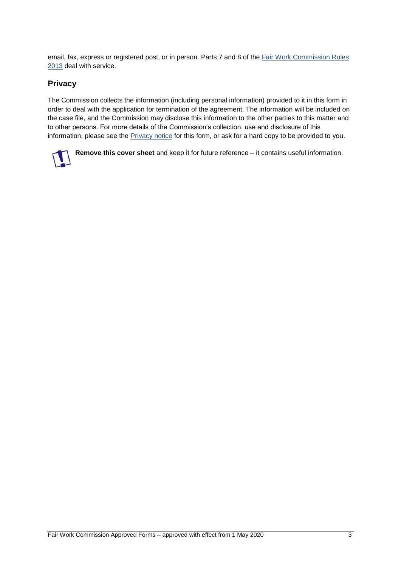email, fax, express or registered post, or in person. Parts 7 and 8 of the Fair Work Commission Rules 2013 deal with service.

#### **Privacy**

The Commission collects the information (including personal information) provided to it in this form in order to deal with the application for termination of the agreement. The information will be included on the case file, and the Commission may disclose this information to the other parties to this matter and to other persons. For more details of the Commission's collection, use and disclosure of this information, please see the Privacy notice for this form, or ask for a hard copy to be provided to you.

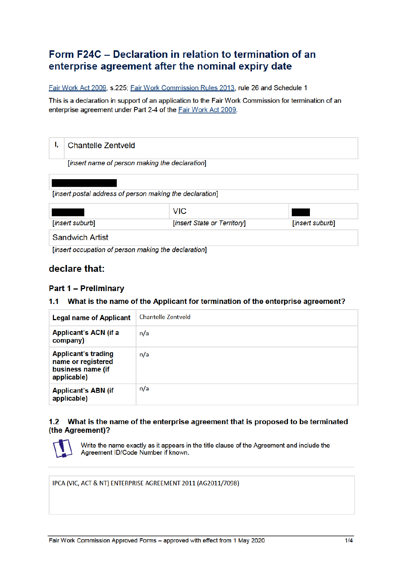## Form F24C – Declaration in relation to termination of an enterprise agreement after the nominal expiry date

Fair Work Act 2009, s.225: Fair Work Commission Rules 2013, rule 26 and Schedule 1

This is a declaration in support of an application to the Fair Work Commission for termination of an enterprise agreement under Part 2-4 of the Fair Work Act 2009.

| ı.<br><b>Chantelle Zentveld</b>                                    |                                                          |                 |  |  |  |
|--------------------------------------------------------------------|----------------------------------------------------------|-----------------|--|--|--|
| [insert name of person making the declaration]                     |                                                          |                 |  |  |  |
|                                                                    |                                                          |                 |  |  |  |
|                                                                    | [insert postal address of person making the declaration] |                 |  |  |  |
|                                                                    | <b>VIC</b>                                               |                 |  |  |  |
| [insert suburb]                                                    | [insert State or Territory]                              | [insert suburb] |  |  |  |
| <b>Sandwich Artist</b>                                             |                                                          |                 |  |  |  |
| Financial constructions of momentum in the matter of continuation. |                                                          |                 |  |  |  |

[insert occupation of person making the declaration]

### declare that:

### **Part 1 - Preliminary**

#### 1.1 What is the name of the Applicant for termination of the enterprise agreement?

| <b>Legal name of Applicant</b>                                                       | Chantelle Zentveld |
|--------------------------------------------------------------------------------------|--------------------|
| Applicant's ACN (if a<br>company)                                                    | n/a                |
| <b>Applicant's trading</b><br>name or registered<br>business name (if<br>applicable) | n/a                |
| <b>Applicant's ABN (if</b><br>applicable)                                            | n/a                |

#### 1.2 What is the name of the enterprise agreement that is proposed to be terminated (the Agreement)?



Write the name exactly as it appears in the title clause of the Agreement and include the Agreement ID/Code Number if known.

IPCA (VIC, ACT & NT) ENTERPRISE AGREEMENT 2011 (AG2011/7098)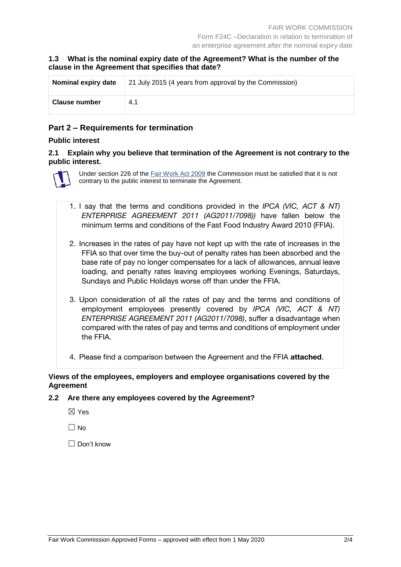#### **1.3 What is the nominal expiry date of the Agreement? What is the number of the clause in the Agreement that specifies that date?**

| Nominal expiry date  | 21 July 2015 (4 years from approval by the Commission) |  |
|----------------------|--------------------------------------------------------|--|
| <b>Clause number</b> | 4.1                                                    |  |

#### **Part 2 – Requirements for termination**

#### **Public interest**

#### **2.1 Explain why you believe that termination of the Agreement is not contrary to the public interest.**



Under section 226 of the Fair Work Act 2009 the Commission must be satisfied that it is not contrary to the public interest to terminate the Agreement.

- 1. I say that the terms and conditions provided in the *IPCA (VIC, ACT & NT) ENTERPRISE AGREEMENT 2011 (AG2011/7098))* have fallen below the minimum terms and conditions of the Fast Food Industry Award 2010 (FFIA).
- 2. Increases in the rates of pay have not kept up with the rate of increases in the FFIA so that over time the buy-out of penalty rates has been absorbed and the base rate of pay no longer compensates for a lack of allowances, annual leave loading, and penalty rates leaving employees working Evenings, Saturdays, Sundays and Public Holidays worse off than under the FFIA.
- 3. Upon consideration of all the rates of pay and the terms and conditions of employment employees presently covered by *IPCA (VIC, ACT & NT) ENTERPRISE AGREEMENT 2011 (AG2011/7098)*, suffer a disadvantage when compared with the rates of pay and terms and conditions of employment under the FFIA.
- 4. Please find a comparison between the Agreement and the FFIA **attached**.

#### **Views of the employees, employers and employee organisations covered by the Agreement**

#### **2.2 Are there any employees covered by the Agreement?**

- ☒ Yes
- $\Box$  No

 $\Box$  Don't know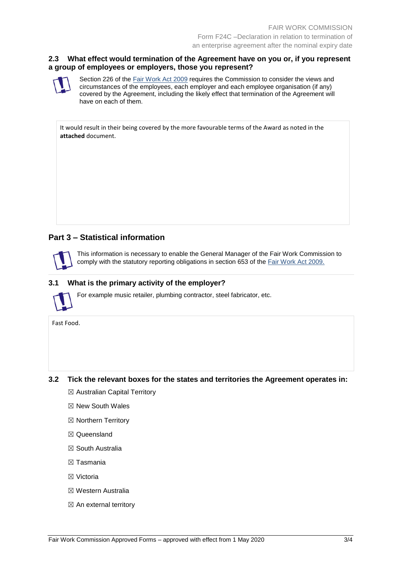#### **2.3 What effect would termination of the Agreement have on you or, if you represent a group of employees or employers, those you represent?**

Section 226 of the Fair Work Act 2009 requires the Commission to consider the views and circumstances of the employees, each employer and each employee organisation (if any) covered by the Agreement, including the likely effect that termination of the Agreement will have on each of them.

It would result in their being covered by the more favourable terms of the Award as noted in the **attached** document.

#### **Part 3 – Statistical information**

This information is necessary to enable the General Manager of the Fair Work Commission to comply with the statutory reporting obligations in section 653 of the Fair Work Act 2009.

#### **3.1 What is the primary activity of the employer?**

For example music retailer, plumbing contractor, steel fabricator, etc.

Fast Food.

#### **3.2 Tick the relevant boxes for the states and territories the Agreement operates in:**

- ☒ Australian Capital Territory
- ☒ New South Wales
- ☒ Northern Territory
- ☒ Queensland
- ☒ South Australia
- ☒ Tasmania
- ☒ Victoria
- ☒ Western Australia
- $\boxtimes$  An external territory